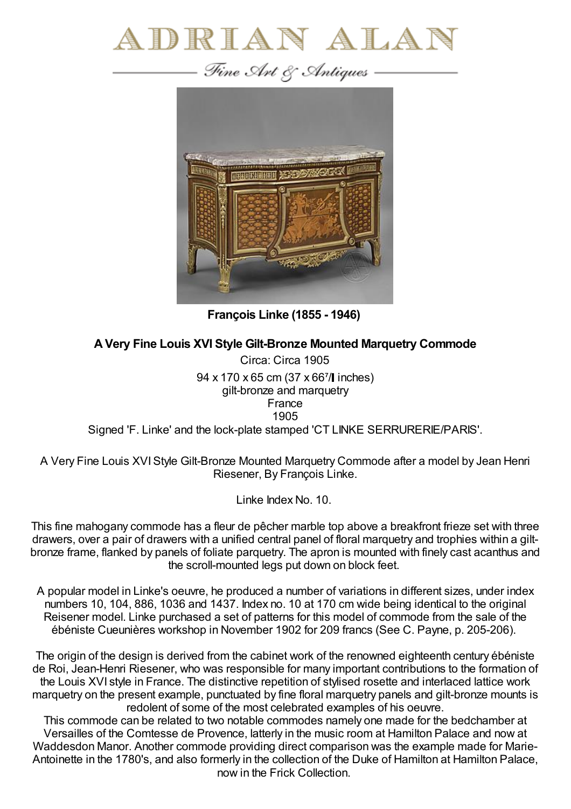



**François Linke (1855 - 1946)**

## **AVery Fine Louis XVI Style Gilt-Bronze Mounted Marquetry Commode**

Circa: Circa 1905 94 x 170 x 65 cm (37 x 667/l inches) gilt-bronze and marquetry France 1905 Signed 'F. Linke' and the lock-plate stamped 'CT LINKE SERRURERIE/PARIS'.

A Very Fine Louis XVIStyle Gilt-Bronze Mounted Marquetry Commode after a model by Jean Henri Riesener, By François Linke.

Linke Index No. 10.

This fine mahogany commode has a fleur de pêcher marble top above a breakfront frieze set with three drawers, over a pair of drawers with a unified central panel of floral marquetry and trophies within a giltbronze frame, flanked by panels of foliate parquetry. The apron is mounted with finely cast acanthus and the scroll-mounted legs put down on block feet.

A popular model in Linke's oeuvre, he produced a number of variations in different sizes, under index numbers 10, 104, 886, 1036 and 1437. Index no. 10 at 170 cm wide being identical to the original Reisener model. Linke purchased a set of patterns for this model of commode from the sale of the ébéniste Cueunières workshop in November 1902 for 209 francs (See C. Payne, p. 205-206).

The origin of the design is derived from the cabinet work of the renowned eighteenth century ébéniste de Roi, Jean-Henri Riesener, who was responsible for many important contributions to the formation of the Louis XVI style in France. The distinctive repetition of stylised rosette and interlaced lattice work marquetry on the present example, punctuated by fine floral marquetry panels and gilt-bronze mounts is redolent of some of the most celebrated examples of his oeuvre.

This commode can be related to two notable commodes namely one made for the bedchamber at Versailles of the Comtesse de Provence, latterly in the music room at Hamilton Palace and now at Waddesdon Manor. Another commode providing direct comparison was the example made for Marie-Antoinette in the 1780's, and also formerly in the collection of the Duke of Hamilton at Hamilton Palace, now in the Frick Collection.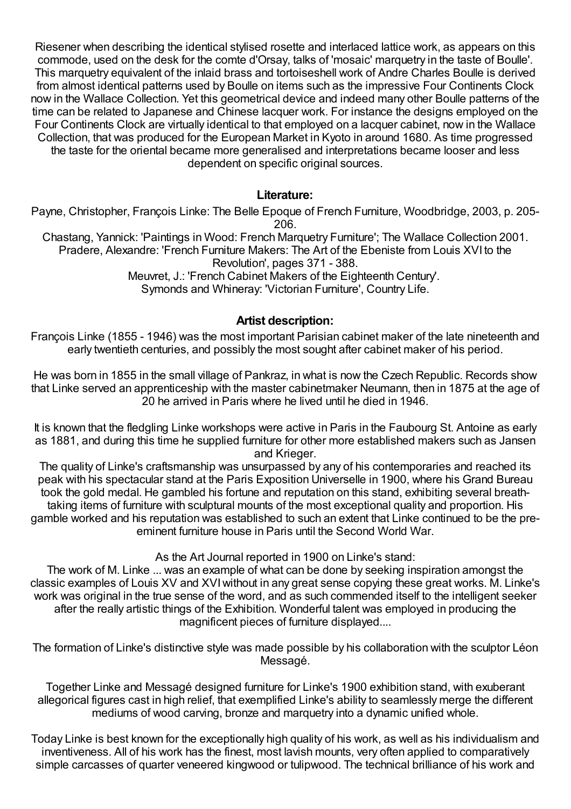Riesener when describing the identical stylised rosette and interlaced lattice work, as appears on this commode, used on the desk for the comte d'Orsay, talks of 'mosaic' marquetry in the taste of Boulle'. This marquetry equivalent of the inlaid brass and tortoiseshell work of Andre Charles Boulle is derived from almost identical patterns used by Boulle on items such as the impressive Four Continents Clock now in the Wallace Collection. Yet this geometrical device and indeed many other Boulle patterns of the time can be related to Japanese and Chinese lacquer work. For instance the designs employed on the Four Continents Clock are virtually identical to that employed on a lacquer cabinet, now in the Wallace Collection, that was produced for the European Market in Kyoto in around 1680. As time progressed the taste for the oriental became more generalised and interpretations became looser and less dependent on specific original sources.

## **Literature:**

Payne, Christopher, François Linke: The Belle Epoque of French Furniture, Woodbridge, 2003, p. 205- 206.

Chastang, Yannick: 'Paintings in Wood: French Marquetry Furniture'; The Wallace Collection 2001. Pradere, Alexandre: 'French Furniture Makers: The Art of the Ebeniste from Louis XVI to the Revolution', pages 371 - 388.

Meuvret, J.: 'French Cabinet Makers of the Eighteenth Century'. Symonds and Whineray: 'Victorian Furniture', Country Life.

## **Artist description:**

François Linke (1855 - 1946) was the most important Parisian cabinet maker of the late nineteenth and early twentieth centuries, and possibly the most sought after cabinet maker of his period.

He was born in 1855 in the small village of Pankraz, in what is now the Czech Republic. Records show that Linke served an apprenticeship with the master cabinetmaker Neumann, then in 1875 at the age of 20 he arrived in Paris where he lived until he died in 1946.

It is known that the fledgling Linke workshops were active in Paris in the Faubourg St. Antoine as early as 1881, and during this time he supplied furniture for other more established makers such as Jansen and Krieger.

The quality of Linke's craftsmanship was unsurpassed by any of his contemporaries and reached its peak with his spectacular stand at the Paris Exposition Universelle in 1900, where his Grand Bureau took the gold medal. He gambled his fortune and reputation on this stand, exhibiting several breathtaking items of furniture with sculptural mounts of the most exceptional quality and proportion. His gamble worked and his reputation was established to such an extent that Linke continued to be the preeminent furniture house in Paris until the Second World War.

## As the Art Journal reported in 1900 on Linke's stand:

The work of M. Linke ... was an example of what can be done by seeking inspiration amongst the classic examples of Louis XV and XVIwithout in any great sense copying these great works. M. Linke's work was original in the true sense of the word, and as such commended itself to the intelligent seeker after the really artistic things of the Exhibition. Wonderful talent was employed in producing the magnificent pieces of furniture displayed....

The formation of Linke's distinctive style was made possible by his collaboration with the sculptor Léon Messagé.

Together Linke and Messagé designed furniture for Linke's 1900 exhibition stand, with exuberant allegorical figures cast in high relief, that exemplified Linke's ability to seamlessly merge the different mediums of wood carving, bronze and marquetry into a dynamic unified whole.

Today Linke is best known for the exceptionally high quality of his work, as well as his individualism and inventiveness. All of his work has the finest, most lavish mounts, very often applied to comparatively simple carcasses of quarter veneered kingwood or tulipwood. The technical brilliance of his work and